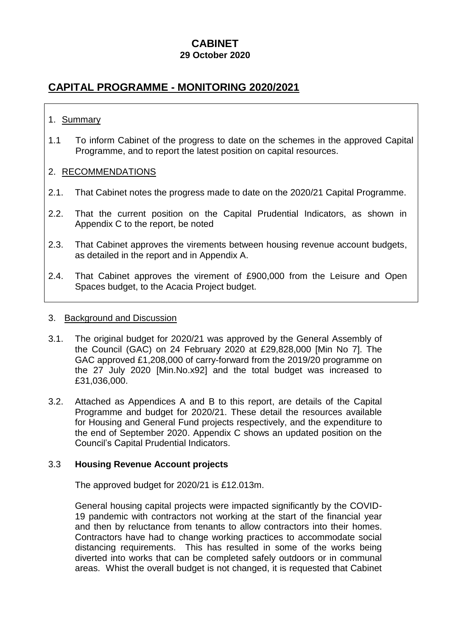# **CABINET**

# **29 October 2020**

# **CAPITAL PROGRAMME - MONITORING 2020/2021**

# 1. Summary

1.1 To inform Cabinet of the progress to date on the schemes in the approved Capital Programme, and to report the latest position on capital resources.

# 2. RECOMMENDATIONS

- 2.1. That Cabinet notes the progress made to date on the 2020/21 Capital Programme.
- 2.2. That the current position on the Capital Prudential Indicators, as shown in Appendix C to the report, be noted
- 2.3. That Cabinet approves the virements between housing revenue account budgets, as detailed in the report and in Appendix A.
- 2.4. That Cabinet approves the virement of £900,000 from the Leisure and Open Spaces budget, to the Acacia Project budget.

#### 3. Background and Discussion

- 3.1. The original budget for 2020/21 was approved by the General Assembly of the Council (GAC) on 24 February 2020 at £29,828,000 [Min No 7]. The GAC approved £1,208,000 of carry-forward from the 2019/20 programme on the 27 July 2020 [Min.No.x92] and the total budget was increased to £31,036,000.
- 3.2. Attached as Appendices A and B to this report, are details of the Capital Programme and budget for 2020/21. These detail the resources available for Housing and General Fund projects respectively, and the expenditure to the end of September 2020. Appendix C shows an updated position on the Council's Capital Prudential Indicators.

#### 3.3 **Housing Revenue Account projects**

The approved budget for 2020/21 is £12.013m.

General housing capital projects were impacted significantly by the COVID-19 pandemic with contractors not working at the start of the financial year and then by reluctance from tenants to allow contractors into their homes. Contractors have had to change working practices to accommodate social distancing requirements. This has resulted in some of the works being diverted into works that can be completed safely outdoors or in communal areas. Whist the overall budget is not changed, it is requested that Cabinet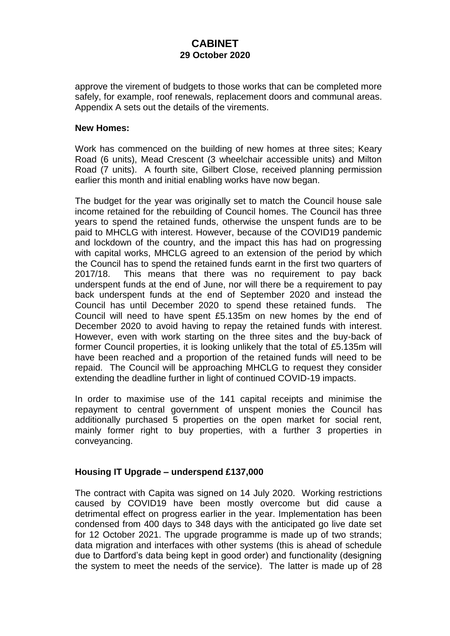approve the virement of budgets to those works that can be completed more safely, for example, roof renewals, replacement doors and communal areas. Appendix A sets out the details of the virements.

### **New Homes:**

Work has commenced on the building of new homes at three sites; Keary Road (6 units), Mead Crescent (3 wheelchair accessible units) and Milton Road (7 units). A fourth site, Gilbert Close, received planning permission earlier this month and initial enabling works have now began.

The budget for the year was originally set to match the Council house sale income retained for the rebuilding of Council homes. The Council has three years to spend the retained funds, otherwise the unspent funds are to be paid to MHCLG with interest. However, because of the COVID19 pandemic and lockdown of the country, and the impact this has had on progressing with capital works, MHCLG agreed to an extension of the period by which the Council has to spend the retained funds earnt in the first two quarters of 2017/18. This means that there was no requirement to pay back underspent funds at the end of June, nor will there be a requirement to pay back underspent funds at the end of September 2020 and instead the Council has until December 2020 to spend these retained funds. The Council will need to have spent £5.135m on new homes by the end of December 2020 to avoid having to repay the retained funds with interest. However, even with work starting on the three sites and the buy-back of former Council properties, it is looking unlikely that the total of £5.135m will have been reached and a proportion of the retained funds will need to be repaid. The Council will be approaching MHCLG to request they consider extending the deadline further in light of continued COVID-19 impacts.

In order to maximise use of the 141 capital receipts and minimise the repayment to central government of unspent monies the Council has additionally purchased 5 properties on the open market for social rent, mainly former right to buy properties, with a further 3 properties in conveyancing.

# **Housing IT Upgrade – underspend £137,000**

The contract with Capita was signed on 14 July 2020. Working restrictions caused by COVID19 have been mostly overcome but did cause a detrimental effect on progress earlier in the year. Implementation has been condensed from 400 days to 348 days with the anticipated go live date set for 12 October 2021. The upgrade programme is made up of two strands; data migration and interfaces with other systems (this is ahead of schedule due to Dartford's data being kept in good order) and functionality (designing the system to meet the needs of the service). The latter is made up of 28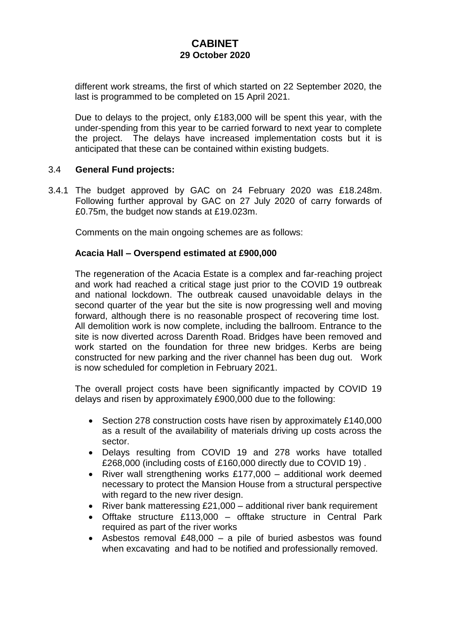different work streams, the first of which started on 22 September 2020, the last is programmed to be completed on 15 April 2021.

Due to delays to the project, only £183,000 will be spent this year, with the under-spending from this year to be carried forward to next year to complete the project. The delays have increased implementation costs but it is anticipated that these can be contained within existing budgets.

# 3.4 **General Fund projects:**

3.4.1 The budget approved by GAC on 24 February 2020 was £18.248m. Following further approval by GAC on 27 July 2020 of carry forwards of £0.75m, the budget now stands at £19.023m.

Comments on the main ongoing schemes are as follows:

### **Acacia Hall – Overspend estimated at £900,000**

The regeneration of the Acacia Estate is a complex and far-reaching project and work had reached a critical stage just prior to the COVID 19 outbreak and national lockdown. The outbreak caused unavoidable delays in the second quarter of the year but the site is now progressing well and moving forward, although there is no reasonable prospect of recovering time lost. All demolition work is now complete, including the ballroom. Entrance to the site is now diverted across Darenth Road. Bridges have been removed and work started on the foundation for three new bridges. Kerbs are being constructed for new parking and the river channel has been dug out. Work is now scheduled for completion in February 2021.

The overall project costs have been significantly impacted by COVID 19 delays and risen by approximately £900,000 due to the following:

- Section 278 construction costs have risen by approximately £140,000 as a result of the availability of materials driving up costs across the sector.
- Delays resulting from COVID 19 and 278 works have totalled £268,000 (including costs of £160,000 directly due to COVID 19) .
- River wall strengthening works £177,000 additional work deemed necessary to protect the Mansion House from a structural perspective with regard to the new river design.
- River bank matteressing £21,000 additional river bank requirement
- Offtake structure £113,000 offtake structure in Central Park required as part of the river works
- Asbestos removal £48,000 a pile of buried asbestos was found when excavating and had to be notified and professionally removed.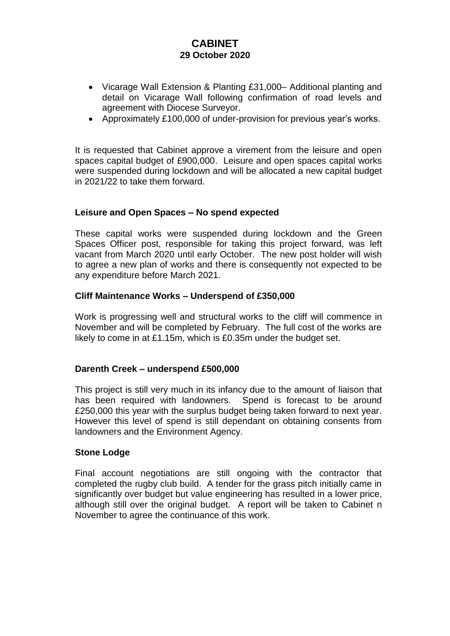- Vicarage Wall Extension & Planting £31,000– Additional planting and detail on Vicarage Wall following confirmation of road levels and agreement with Diocese Surveyor.
- Approximately £100,000 of under-provision for previous year's works.

It is requested that Cabinet approve a virement from the leisure and open spaces capital budget of £900,000. Leisure and open spaces capital works were suspended during lockdown and will be allocated a new capital budget in 2021/22 to take them forward.

# **Leisure and Open Spaces – No spend expected**

These capital works were suspended during lockdown and the Green Spaces Officer post, responsible for taking this project forward, was left vacant from March 2020 until early October. The new post holder will wish to agree a new plan of works and there is consequently not expected to be any expenditure before March 2021.

### **Cliff Maintenance Works – Underspend of £350,000**

Work is progressing well and structural works to the cliff will commence in November and will be completed by February. The full cost of the works are likely to come in at £1.15m, which is £0.35m under the budget set.

#### **Darenth Creek – underspend £500,000**

This project is still very much in its infancy due to the amount of liaison that has been required with landowners. Spend is forecast to be around £250,000 this year with the surplus budget being taken forward to next year. However this level of spend is still dependant on obtaining consents from landowners and the Environment Agency.

#### **Stone Lodge**

Final account negotiations are still ongoing with the contractor that completed the rugby club build. A tender for the grass pitch initially came in significantly over budget but value engineering has resulted in a lower price, although still over the original budget. A report will be taken to Cabinet n November to agree the continuance of this work.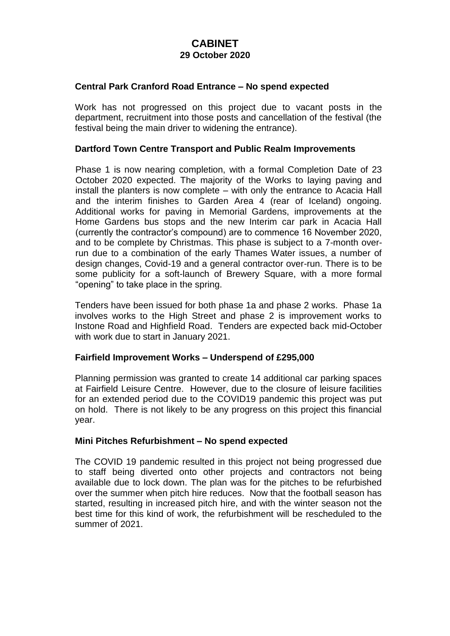### **Central Park Cranford Road Entrance – No spend expected**

Work has not progressed on this project due to vacant posts in the department, recruitment into those posts and cancellation of the festival (the festival being the main driver to widening the entrance).

#### **Dartford Town Centre Transport and Public Realm Improvements**

Phase 1 is now nearing completion, with a formal Completion Date of 23 October 2020 expected. The majority of the Works to laying paving and install the planters is now complete – with only the entrance to Acacia Hall and the interim finishes to Garden Area 4 (rear of Iceland) ongoing. Additional works for paving in Memorial Gardens, improvements at the Home Gardens bus stops and the new Interim car park in Acacia Hall (currently the contractor's compound) are to commence 16 November 2020, and to be complete by Christmas. This phase is subject to a 7-month overrun due to a combination of the early Thames Water issues, a number of design changes, Covid-19 and a general contractor over-run. There is to be some publicity for a soft-launch of Brewery Square, with a more formal "opening" to take place in the spring.

Tenders have been issued for both phase 1a and phase 2 works. Phase 1a involves works to the High Street and phase 2 is improvement works to Instone Road and Highfield Road. Tenders are expected back mid-October with work due to start in January 2021.

# **Fairfield Improvement Works – Underspend of £295,000**

Planning permission was granted to create 14 additional car parking spaces at Fairfield Leisure Centre. However, due to the closure of leisure facilities for an extended period due to the COVID19 pandemic this project was put on hold. There is not likely to be any progress on this project this financial year.

#### **Mini Pitches Refurbishment – No spend expected**

The COVID 19 pandemic resulted in this project not being progressed due to staff being diverted onto other projects and contractors not being available due to lock down. The plan was for the pitches to be refurbished over the summer when pitch hire reduces. Now that the football season has started, resulting in increased pitch hire, and with the winter season not the best time for this kind of work, the refurbishment will be rescheduled to the summer of 2021.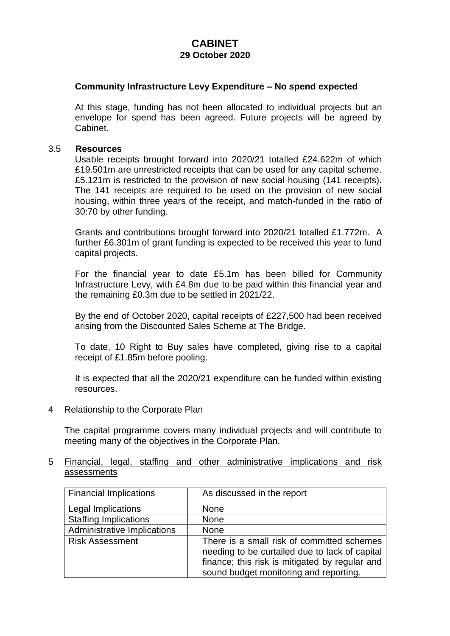### **Community Infrastructure Levy Expenditure – No spend expected**

At this stage, funding has not been allocated to individual projects but an envelope for spend has been agreed. Future projects will be agreed by Cabinet.

#### 3.5 **Resources**

Usable receipts brought forward into 2020/21 totalled £24.622m of which £19.501m are unrestricted receipts that can be used for any capital scheme. £5.121m is restricted to the provision of new social housing (141 receipts). The 141 receipts are required to be used on the provision of new social housing, within three years of the receipt, and match-funded in the ratio of 30:70 by other funding.

Grants and contributions brought forward into 2020/21 totalled £1.772m. A further £6.301m of grant funding is expected to be received this year to fund capital projects.

For the financial year to date £5.1m has been billed for Community Infrastructure Levy, with £4.8m due to be paid within this financial year and the remaining £0.3m due to be settled in 2021/22.

By the end of October 2020, capital receipts of £227,500 had been received arising from the Discounted Sales Scheme at The Bridge.

To date, 10 Right to Buy sales have completed, giving rise to a capital receipt of £1.85m before pooling.

It is expected that all the 2020/21 expenditure can be funded within existing resources.

#### 4 Relationship to the Corporate Plan

The capital programme covers many individual projects and will contribute to meeting many of the objectives in the Corporate Plan.

### 5 Financial, legal, staffing and other administrative implications and risk assessments

| <b>Financial Implications</b>      | As discussed in the report                                                                                                                                                               |  |
|------------------------------------|------------------------------------------------------------------------------------------------------------------------------------------------------------------------------------------|--|
| Legal Implications                 | <b>None</b>                                                                                                                                                                              |  |
| <b>Staffing Implications</b>       | <b>None</b>                                                                                                                                                                              |  |
| <b>Administrative Implications</b> | <b>None</b>                                                                                                                                                                              |  |
| <b>Risk Assessment</b>             | There is a small risk of committed schemes<br>needing to be curtailed due to lack of capital<br>finance; this risk is mitigated by regular and<br>sound budget monitoring and reporting. |  |